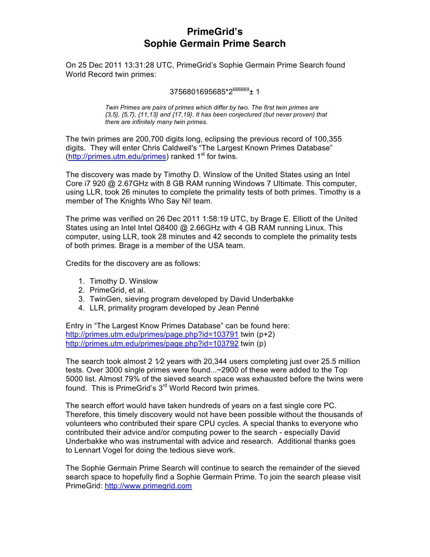# **PrimeGrid's Sophie Germain Prime Search**

On 25 Dec 2011 13:31:28 UTC, PrimeGrid's Sophie Germain Prime Search found World Record twin primes:

#### $3756801695685*2^{66669}$ ± 1

*Twin Primes are pairs of primes which differ by two. The first twin primes are {3,5}, {5,7}, {11,13} and {17,19}. It has been conjectured (but never proven) that there are infinitely many twin primes.*

The twin primes are 200,700 digits long, eclipsing the previous record of 100,355 digits. They will enter Chris Caldwell's "The Largest Known Primes Database"  $(http://primes.utm.edu/primes)$  ranked  $1<sup>st</sup>$  for twins.

The discovery was made by Timothy D. Winslow of the United States using an Intel Core i7 920 @ 2.67GHz with 8 GB RAM running Windows 7 Ultimate. This computer, using LLR, took 26 minutes to complete the primality tests of both primes. Timothy is a member of The Knights Who Say Ni! team.

The prime was verified on 26 Dec 2011 1:58:19 UTC, by Brage E. Elliott of the United States using an Intel Intel Q8400 @ 2.66GHz with 4 GB RAM running Linux. This computer, using LLR, took 28 minutes and 42 seconds to complete the primality tests of both primes. Brage is a member of the USA team.

Credits for the discovery are as follows:

- 1. Timothy D. Winslow
- 2. PrimeGrid, et al.
- 3. TwinGen, sieving program developed by David Underbakke
- 4. LLR, primality program developed by Jean Penné

Entry in "The Largest Know Primes Database" can be found here: http://primes.utm.edu/primes/page.php?id=103791 twin (p+2) http://primes.utm.edu/primes/page.php?id=103792 twin (p)

The search took almost 2  $1/2$  years with 20,344 users completing just over 25.5 million tests. Over 3000 single primes were found...~2900 of these were added to the Top 5000 list. Almost 79% of the sieved search space was exhausted before the twins were found. This is PrimeGrid's 3<sup>rd</sup> World Record twin primes.

The search effort would have taken hundreds of years on a fast single core PC. Therefore, this timely discovery would not have been possible without the thousands of volunteers who contributed their spare CPU cycles. A special thanks to everyone who contributed their advice and/or computing power to the search - especially David Underbakke who was instrumental with advice and research. Additional thanks goes to Lennart Vogel for doing the tedious sieve work.

The Sophie Germain Prime Search will continue to search the remainder of the sieved search space to hopefully find a Sophie Germain Prime. To join the search please visit PrimeGrid: http://www.primegrid.com